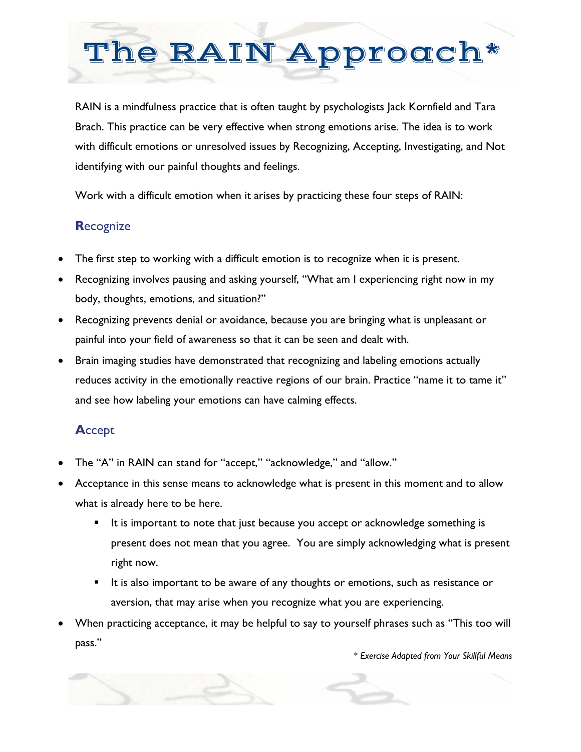# The RAIN Approcch\*

RAIN is a mindfulness practice that is often taught by psychologists lack Kornfield and Tara Brach. This practice can be very effective when strong emotions arise. The idea is to work with difficult emotions or unresolved issues by Recognizing, Accepting, Investigating, and Not identifying with our painful thoughts and feelings.

Work with a difficult emotion when it arises by practicing these four steps of RAIN:

# **R**ecognize

- The first step to working with a difficult emotion is to recognize when it is present.
- Recognizing involves pausing and asking yourself, "What am I experiencing right now in my body, thoughts, emotions, and situation?"
- Recognizing prevents denial or avoidance, because you are bringing what is unpleasant or painful into your field of awareness so that it can be seen and dealt with.
- Brain imaging studies have demonstrated that recognizing and labeling emotions actually reduces activity in the emotionally reactive regions of our brain. Practice "name it to tame it" and see how labeling your emotions can have calming effects.

# **A**ccept

- The "A" in RAIN can stand for "accept," "acknowledge," and "allow."
- Acceptance in this sense means to acknowledge what is present in this moment and to allow what is already here to be here.
	- **I** It is important to note that just because you accept or acknowledge something is present does not mean that you agree. You are simply acknowledging what is present right now.
	- It is also important to be aware of any thoughts or emotions, such as resistance or aversion, that may arise when you recognize what you are experiencing.
- When practicing acceptance, it may be helpful to say to yourself phrases such as "This too will pass."

*\* Exercise Adapted from Your Skillful Means*